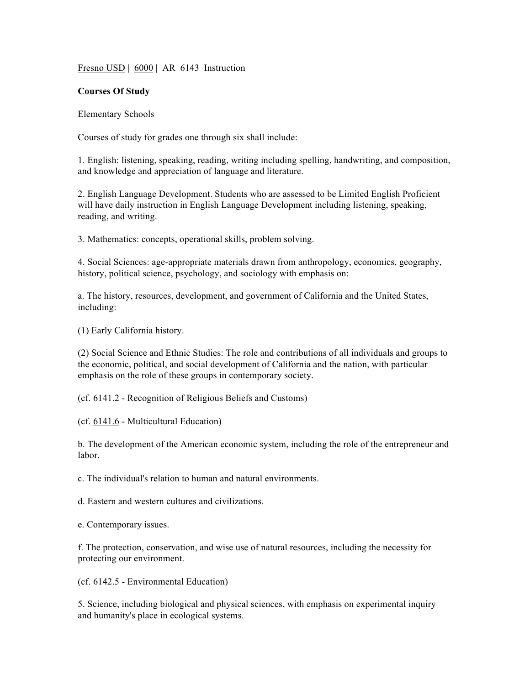Fresno USD | 6000 | AR 6143 Instruction

## **Courses Of Study**

Elementary Schools

Courses of study for grades one through six shall include:

1. English: listening, speaking, reading, writing including spelling, handwriting, and composition, and knowledge and appreciation of language and literature.

2. English Language Development. Students who are assessed to be Limited English Proficient will have daily instruction in English Language Development including listening, speaking, reading, and writing.

3. Mathematics: concepts, operational skills, problem solving.

4. Social Sciences: age-appropriate materials drawn from anthropology, economics, geography, history, political science, psychology, and sociology with emphasis on:

a. The history, resources, development, and government of California and the United States, including:

(1) Early California history.

(2) Social Science and Ethnic Studies: The role and contributions of all individuals and groups to the economic, political, and social development of California and the nation, with particular emphasis on the role of these groups in contemporary society.

(cf. 6141.2 - Recognition of Religious Beliefs and Customs)

(cf. 6141.6 - Multicultural Education)

b. The development of the American economic system, including the role of the entrepreneur and labor.

c. The individual's relation to human and natural environments.

d. Eastern and western cultures and civilizations.

e. Contemporary issues.

f. The protection, conservation, and wise use of natural resources, including the necessity for protecting our environment.

(cf. 6142.5 - Environmental Education)

5. Science, including biological and physical sciences, with emphasis on experimental inquiry and humanity's place in ecological systems.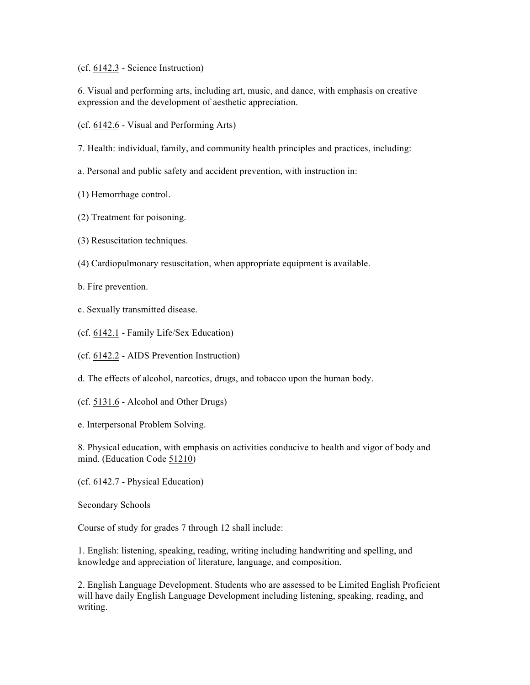## (cf. 6142.3 - Science Instruction)

6. Visual and performing arts, including art, music, and dance, with emphasis on creative expression and the development of aesthetic appreciation.

(cf. 6142.6 - Visual and Performing Arts)

7. Health: individual, family, and community health principles and practices, including:

a. Personal and public safety and accident prevention, with instruction in:

(1) Hemorrhage control.

- (2) Treatment for poisoning.
- (3) Resuscitation techniques.
- (4) Cardiopulmonary resuscitation, when appropriate equipment is available.
- b. Fire prevention.
- c. Sexually transmitted disease.
- (cf. 6142.1 Family Life/Sex Education)
- (cf. 6142.2 AIDS Prevention Instruction)
- d. The effects of alcohol, narcotics, drugs, and tobacco upon the human body.
- (cf. 5131.6 Alcohol and Other Drugs)

e. Interpersonal Problem Solving.

8. Physical education, with emphasis on activities conducive to health and vigor of body and mind. (Education Code 51210)

(cf. 6142.7 - Physical Education)

Secondary Schools

Course of study for grades 7 through 12 shall include:

1. English: listening, speaking, reading, writing including handwriting and spelling, and knowledge and appreciation of literature, language, and composition.

2. English Language Development. Students who are assessed to be Limited English Proficient will have daily English Language Development including listening, speaking, reading, and writing.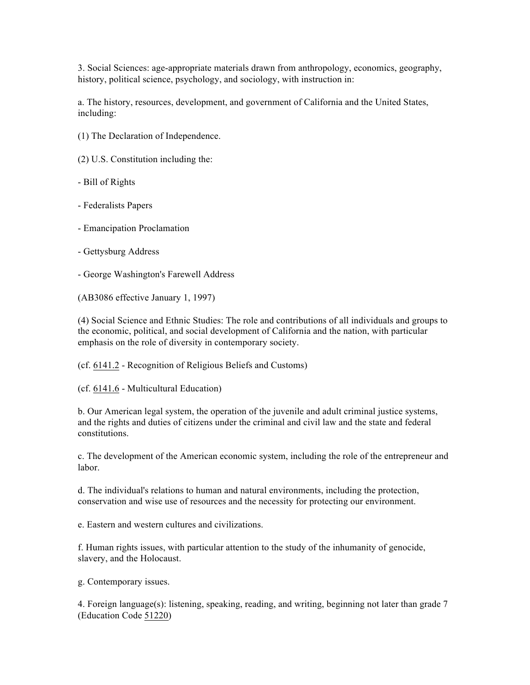3. Social Sciences: age-appropriate materials drawn from anthropology, economics, geography, history, political science, psychology, and sociology, with instruction in:

a. The history, resources, development, and government of California and the United States, including:

- (1) The Declaration of Independence.
- (2) U.S. Constitution including the:
- Bill of Rights
- Federalists Papers
- Emancipation Proclamation
- Gettysburg Address
- George Washington's Farewell Address

(AB3086 effective January 1, 1997)

(4) Social Science and Ethnic Studies: The role and contributions of all individuals and groups to the economic, political, and social development of California and the nation, with particular emphasis on the role of diversity in contemporary society.

(cf. 6141.2 - Recognition of Religious Beliefs and Customs)

(cf. 6141.6 - Multicultural Education)

b. Our American legal system, the operation of the juvenile and adult criminal justice systems, and the rights and duties of citizens under the criminal and civil law and the state and federal constitutions.

c. The development of the American economic system, including the role of the entrepreneur and labor.

d. The individual's relations to human and natural environments, including the protection, conservation and wise use of resources and the necessity for protecting our environment.

e. Eastern and western cultures and civilizations.

f. Human rights issues, with particular attention to the study of the inhumanity of genocide, slavery, and the Holocaust.

g. Contemporary issues.

4. Foreign language(s): listening, speaking, reading, and writing, beginning not later than grade 7 (Education Code 51220)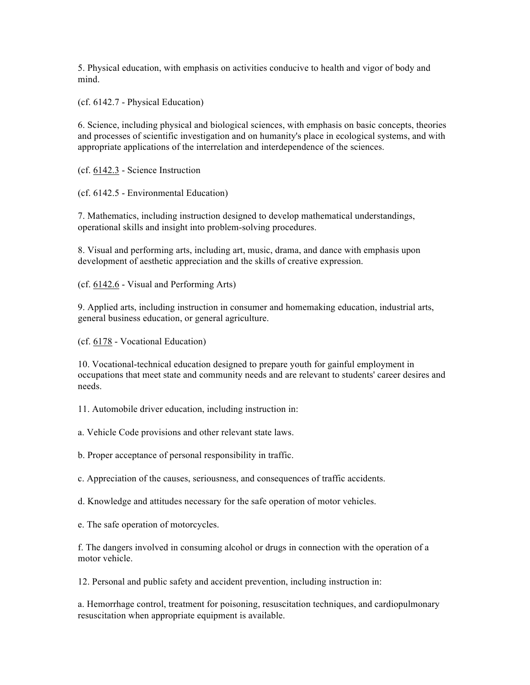5. Physical education, with emphasis on activities conducive to health and vigor of body and mind.

(cf. 6142.7 - Physical Education)

6. Science, including physical and biological sciences, with emphasis on basic concepts, theories and processes of scientific investigation and on humanity's place in ecological systems, and with appropriate applications of the interrelation and interdependence of the sciences.

(cf. 6142.3 - Science Instruction

(cf. 6142.5 - Environmental Education)

7. Mathematics, including instruction designed to develop mathematical understandings, operational skills and insight into problem-solving procedures.

8. Visual and performing arts, including art, music, drama, and dance with emphasis upon development of aesthetic appreciation and the skills of creative expression.

(cf. 6142.6 - Visual and Performing Arts)

9. Applied arts, including instruction in consumer and homemaking education, industrial arts, general business education, or general agriculture.

(cf. 6178 - Vocational Education)

10. Vocational-technical education designed to prepare youth for gainful employment in occupations that meet state and community needs and are relevant to students' career desires and needs.

11. Automobile driver education, including instruction in:

a. Vehicle Code provisions and other relevant state laws.

b. Proper acceptance of personal responsibility in traffic.

c. Appreciation of the causes, seriousness, and consequences of traffic accidents.

d. Knowledge and attitudes necessary for the safe operation of motor vehicles.

e. The safe operation of motorcycles.

f. The dangers involved in consuming alcohol or drugs in connection with the operation of a motor vehicle.

12. Personal and public safety and accident prevention, including instruction in:

a. Hemorrhage control, treatment for poisoning, resuscitation techniques, and cardiopulmonary resuscitation when appropriate equipment is available.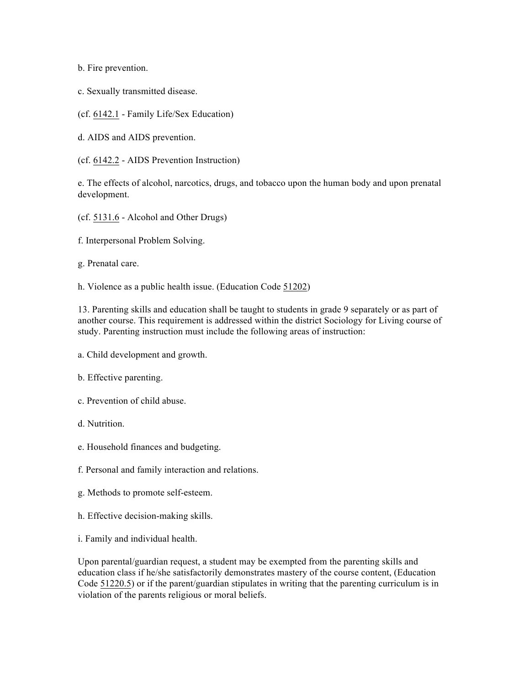b. Fire prevention.

c. Sexually transmitted disease.

(cf. 6142.1 - Family Life/Sex Education)

d. AIDS and AIDS prevention.

(cf. 6142.2 - AIDS Prevention Instruction)

e. The effects of alcohol, narcotics, drugs, and tobacco upon the human body and upon prenatal development.

- (cf. 5131.6 Alcohol and Other Drugs)
- f. Interpersonal Problem Solving.
- g. Prenatal care.

h. Violence as a public health issue. (Education Code 51202)

13. Parenting skills and education shall be taught to students in grade 9 separately or as part of another course. This requirement is addressed within the district Sociology for Living course of study. Parenting instruction must include the following areas of instruction:

a. Child development and growth.

## b. Effective parenting.

- c. Prevention of child abuse.
- d. Nutrition.
- e. Household finances and budgeting.
- f. Personal and family interaction and relations.
- g. Methods to promote self-esteem.
- h. Effective decision-making skills.
- i. Family and individual health.

Upon parental/guardian request, a student may be exempted from the parenting skills and education class if he/she satisfactorily demonstrates mastery of the course content, (Education Code 51220.5) or if the parent/guardian stipulates in writing that the parenting curriculum is in violation of the parents religious or moral beliefs.